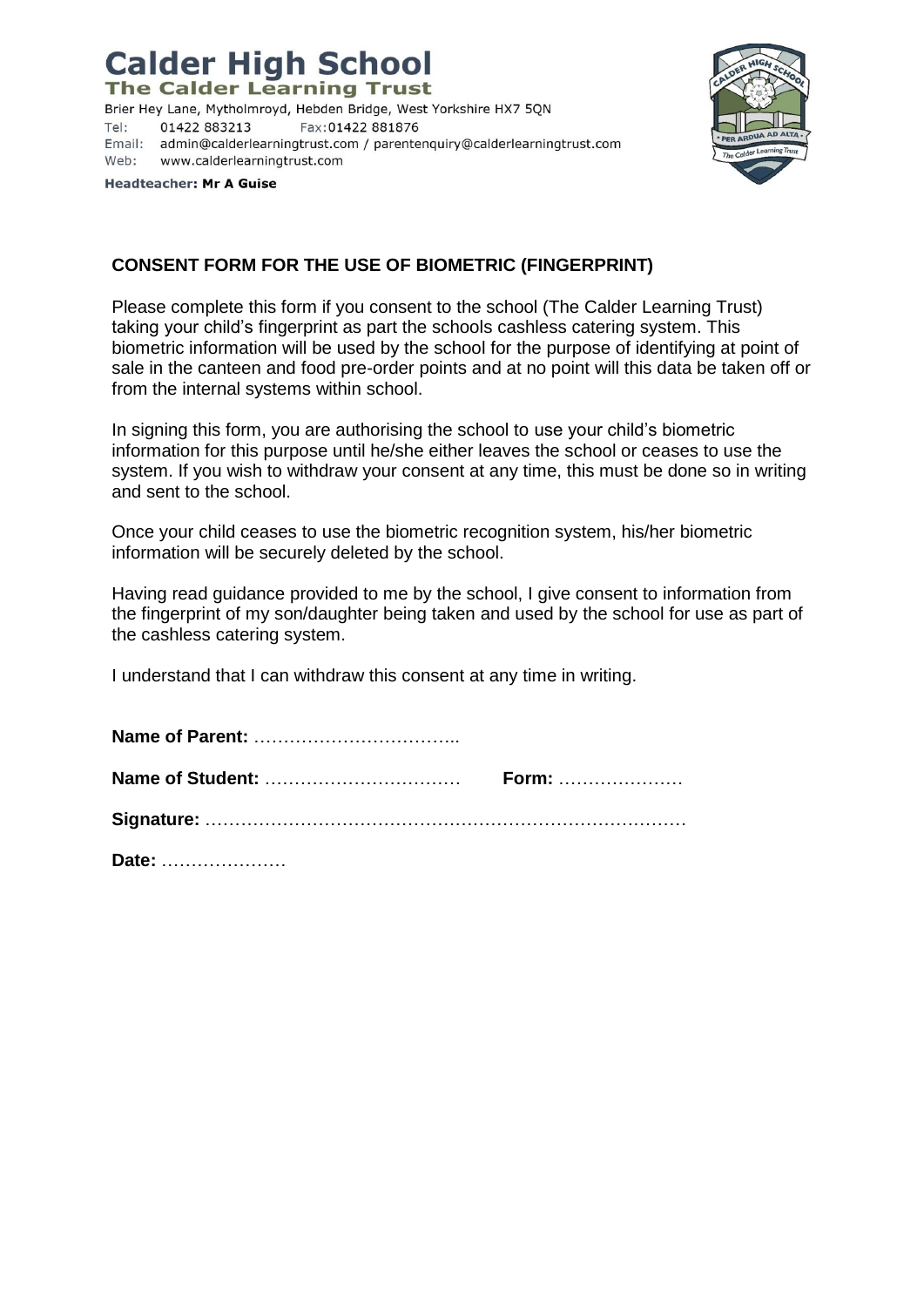## **Calder High School**

**The Calder Learning Trust** 

Brier Hey Lane, Mytholmroyd, Hebden Bridge, West Yorkshire HX7 5QN Tel: 01422 883213 Fax: 01422 881876 Email: admin@calderlearningtrust.com / parentenquiry@calderlearningtrust.com Web: www.calderlearningtrust.com



**Headteacher: Mr A Guise** 

## **CONSENT FORM FOR THE USE OF BIOMETRIC (FINGERPRINT)**

Please complete this form if you consent to the school (The Calder Learning Trust) taking your child's fingerprint as part the schools cashless catering system. This biometric information will be used by the school for the purpose of identifying at point of sale in the canteen and food pre-order points and at no point will this data be taken off or from the internal systems within school.

In signing this form, you are authorising the school to use your child's biometric information for this purpose until he/she either leaves the school or ceases to use the system. If you wish to withdraw your consent at any time, this must be done so in writing and sent to the school.

Once your child ceases to use the biometric recognition system, his/her biometric information will be securely deleted by the school.

Having read guidance provided to me by the school, I give consent to information from the fingerprint of my son/daughter being taken and used by the school for use as part of the cashless catering system.

I understand that I can withdraw this consent at any time in writing.

|  | <b>Form:</b> |
|--|--------------|
|  |              |
|  |              |